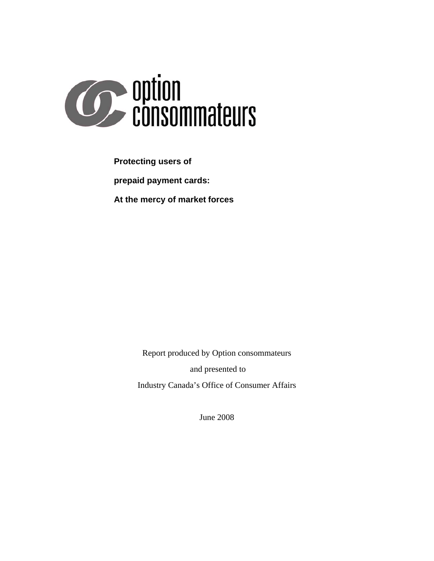

**Protecting users of prepaid payment cards: At the mercy of market forces**

Report produced by Option consommateurs

and presented to

Industry Canada's Office of Consumer Affairs

June 2008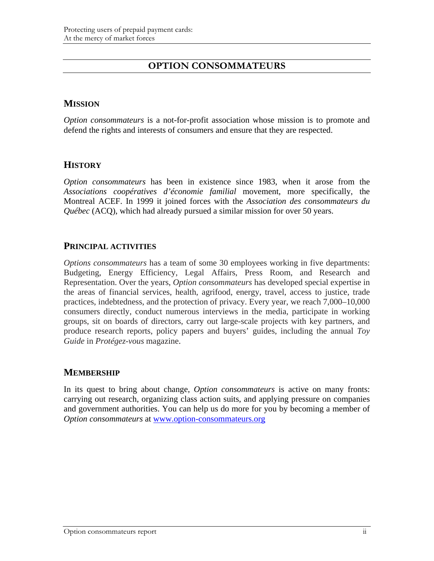# **OPTION CONSOMMATEURS**

## **MISSION**

*Option consommateurs* is a not-for-profit association whose mission is to promote and defend the rights and interests of consumers and ensure that they are respected.

## **HISTORY**

*Option consommateurs* has been in existence since 1983, when it arose from the *Associations coopératives d'économie familial* movement, more specifically, the Montreal ACEF. In 1999 it joined forces with the *Association des consommateurs du Québec* (ACQ), which had already pursued a similar mission for over 50 years.

## **PRINCIPAL ACTIVITIES**

*Options consommateurs* has a team of some 30 employees working in five departments: Budgeting, Energy Efficiency, Legal Affairs, Press Room, and Research and Representation. Over the years, *Option consommateurs* has developed special expertise in the areas of financial services, health, agrifood, energy, travel, access to justice, trade practices, indebtedness, and the protection of privacy. Every year, we reach 7,000–10,000 consumers directly, conduct numerous interviews in the media, participate in working groups, sit on boards of directors, carry out large-scale projects with key partners, and produce research reports, policy papers and buyers' guides, including the annual *Toy Guide* in *Protégez-vous* magazine.

## **MEMBERSHIP**

In its quest to bring about change, *Option consommateurs* is active on many fronts: carrying out research, organizing class action suits, and applying pressure on companies and government authorities. You can help us do more for you by becoming a member of *Option consommateurs* at [www.option-consommateurs.org](http://www.option-consommateurs.org/)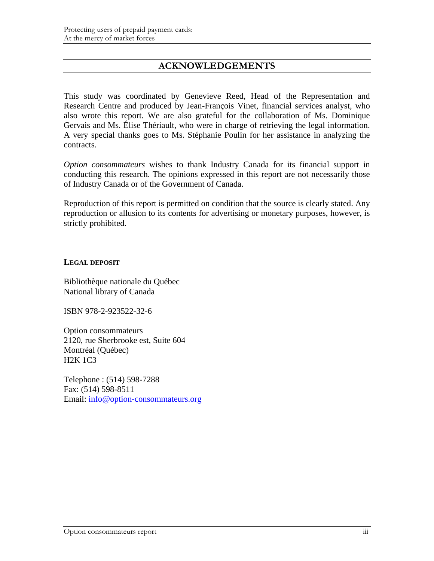# **ACKNOWLEDGEMENTS**

This study was coordinated by Genevieve Reed, Head of the Representation and Research Centre and produced by Jean-François Vinet, financial services analyst, who also wrote this report. We are also grateful for the collaboration of Ms. Dominique Gervais and Ms. Élise Thériault, who were in charge of retrieving the legal information. A very special thanks goes to Ms. Stéphanie Poulin for her assistance in analyzing the contracts.

*Option consommateurs* wishes to thank Industry Canada for its financial support in conducting this research. The opinions expressed in this report are not necessarily those of Industry Canada or of the Government of Canada.

Reproduction of this report is permitted on condition that the source is clearly stated. Any reproduction or allusion to its contents for advertising or monetary purposes, however, is strictly prohibited.

### **LEGAL DEPOSIT**

Bibliothèque nationale du Québec National library of Canada

ISBN 978-2-923522-32-6

Option consommateurs 2120, rue Sherbrooke est, Suite 604 Montréal (Québec) H2K 1C3

Telephone : (514) 598-7288 Fax: (514) 598-8511 Email: [info@option-consommateurs.org](mailto:info@option-consommateurs.org)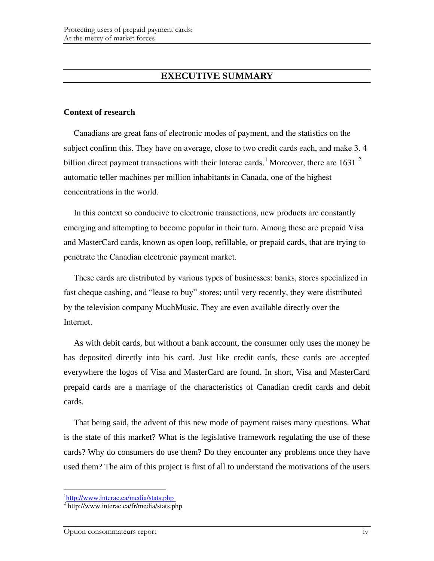# **EXECUTIVE SUMMARY**

#### **Context of research**

Canadians are great fans of electronic modes of payment, and the statistics on the subject confirm this. They have on average, close to two credit cards each, and make 3. 4 billion direct payment transactions with their Interac cards.<sup>[1](#page-3-0)</sup> Moreover, there are 1631<sup>[2](#page-3-1)</sup> automatic teller machines per million inhabitants in Canada, one of the highest concentrations in the world.

In this context so conducive to electronic transactions, new products are constantly emerging and attempting to become popular in their turn. Among these are prepaid Visa and MasterCard cards, known as open loop, refillable, or prepaid cards, that are trying to penetrate the Canadian electronic payment market.

These cards are distributed by various types of businesses: banks, stores specialized in fast cheque cashing, and "lease to buy" stores; until very recently, they were distributed by the television company MuchMusic. They are even available directly over the Internet.

As with debit cards, but without a bank account, the consumer only uses the money he has deposited directly into his card. Just like credit cards, these cards are accepted everywhere the logos of Visa and MasterCard are found. In short, Visa and MasterCard prepaid cards are a marriage of the characteristics of Canadian credit cards and debit cards.

That being said, the advent of this new mode of payment raises many questions. What is the state of this market? What is the legislative framework regulating the use of these cards? Why do consumers do use them? Do they encounter any problems once they have used them? The aim of this project is first of all to understand the motivations of the users

<sup>&</sup>lt;sup>1</sup><http://www.interac.ca/media/stats.php>

<span id="page-3-1"></span><span id="page-3-0"></span><sup>2</sup> http://www.interac.ca/fr/media/stats.php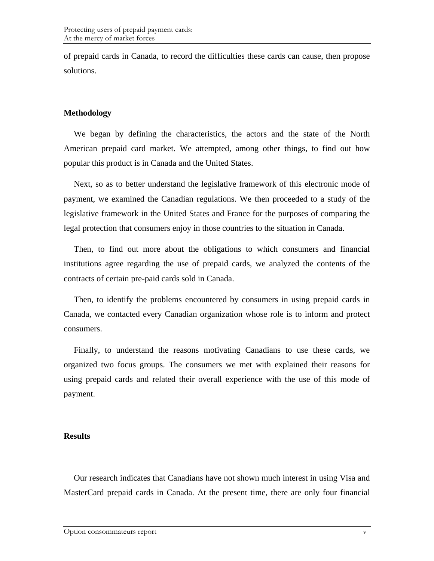of prepaid cards in Canada, to record the difficulties these cards can cause, then propose solutions.

## **Methodology**

We began by defining the characteristics, the actors and the state of the North American prepaid card market. We attempted, among other things, to find out how popular this product is in Canada and the United States.

Next, so as to better understand the legislative framework of this electronic mode of payment, we examined the Canadian regulations. We then proceeded to a study of the legislative framework in the United States and France for the purposes of comparing the legal protection that consumers enjoy in those countries to the situation in Canada.

Then, to find out more about the obligations to which consumers and financial institutions agree regarding the use of prepaid cards, we analyzed the contents of the contracts of certain pre-paid cards sold in Canada.

Then, to identify the problems encountered by consumers in using prepaid cards in Canada, we contacted every Canadian organization whose role is to inform and protect consumers.

Finally, to understand the reasons motivating Canadians to use these cards, we organized two focus groups. The consumers we met with explained their reasons for using prepaid cards and related their overall experience with the use of this mode of payment.

## **Results**

Our research indicates that Canadians have not shown much interest in using Visa and MasterCard prepaid cards in Canada. At the present time, there are only four financial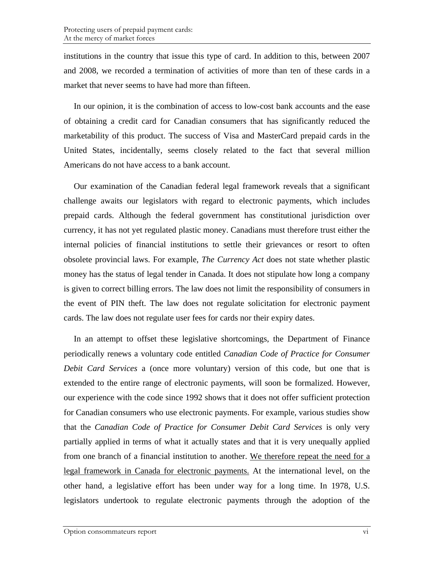institutions in the country that issue this type of card. In addition to this, between 2007 and 2008, we recorded a termination of activities of more than ten of these cards in a market that never seems to have had more than fifteen.

In our opinion, it is the combination of access to low-cost bank accounts and the ease of obtaining a credit card for Canadian consumers that has significantly reduced the marketability of this product. The success of Visa and MasterCard prepaid cards in the United States, incidentally, seems closely related to the fact that several million Americans do not have access to a bank account.

Our examination of the Canadian federal legal framework reveals that a significant challenge awaits our legislators with regard to electronic payments, which includes prepaid cards. Although the federal government has constitutional jurisdiction over currency, it has not yet regulated plastic money. Canadians must therefore trust either the internal policies of financial institutions to settle their grievances or resort to often obsolete provincial laws. For example, *The Currency Act* does not state whether plastic money has the status of legal tender in Canada. It does not stipulate how long a company is given to correct billing errors. The law does not limit the responsibility of consumers in the event of PIN theft. The law does not regulate solicitation for electronic payment cards. The law does not regulate user fees for cards nor their expiry dates.

In an attempt to offset these legislative shortcomings, the Department of Finance periodically renews a voluntary code entitled *Canadian Code of Practice for Consumer Debit Card Services* a (once more voluntary) version of this code, but one that is extended to the entire range of electronic payments, will soon be formalized. However, our experience with the code since 1992 shows that it does not offer sufficient protection for Canadian consumers who use electronic payments. For example, various studies show that the *Canadian Code of Practice for Consumer Debit Card Services* is only very partially applied in terms of what it actually states and that it is very unequally applied from one branch of a financial institution to another. We therefore repeat the need for a legal framework in Canada for electronic payments. At the international level, on the other hand, a legislative effort has been under way for a long time. In 1978, U.S. legislators undertook to regulate electronic payments through the adoption of the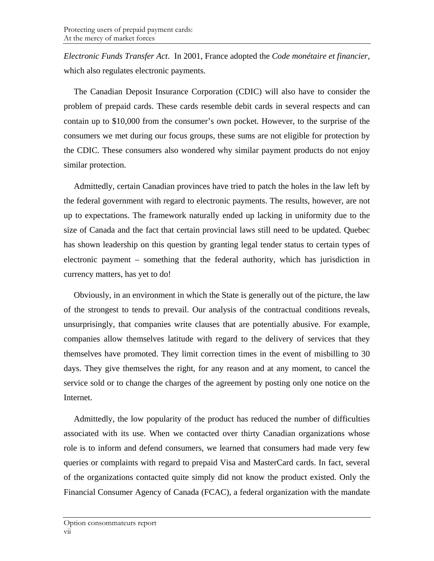*Electronic Funds Transfer Act*. In 2001, France adopted the *Code monétaire et financier,*  which also regulates electronic payments.

The Canadian Deposit Insurance Corporation (CDIC) will also have to consider the problem of prepaid cards. These cards resemble debit cards in several respects and can contain up to \$10,000 from the consumer's own pocket. However, to the surprise of the consumers we met during our focus groups, these sums are not eligible for protection by the CDIC. These consumers also wondered why similar payment products do not enjoy similar protection.

Admittedly, certain Canadian provinces have tried to patch the holes in the law left by the federal government with regard to electronic payments. The results, however, are not up to expectations. The framework naturally ended up lacking in uniformity due to the size of Canada and the fact that certain provincial laws still need to be updated. Quebec has shown leadership on this question by granting legal tender status to certain types of electronic payment – something that the federal authority, which has jurisdiction in currency matters, has yet to do!

Obviously, in an environment in which the State is generally out of the picture, the law of the strongest to tends to prevail. Our analysis of the contractual conditions reveals, unsurprisingly, that companies write clauses that are potentially abusive. For example, companies allow themselves latitude with regard to the delivery of services that they themselves have promoted. They limit correction times in the event of misbilling to 30 days. They give themselves the right, for any reason and at any moment, to cancel the service sold or to change the charges of the agreement by posting only one notice on the Internet.

Admittedly, the low popularity of the product has reduced the number of difficulties associated with its use. When we contacted over thirty Canadian organizations whose role is to inform and defend consumers, we learned that consumers had made very few queries or complaints with regard to prepaid Visa and MasterCard cards. In fact, several of the organizations contacted quite simply did not know the product existed. Only the Financial Consumer Agency of Canada (FCAC), a federal organization with the mandate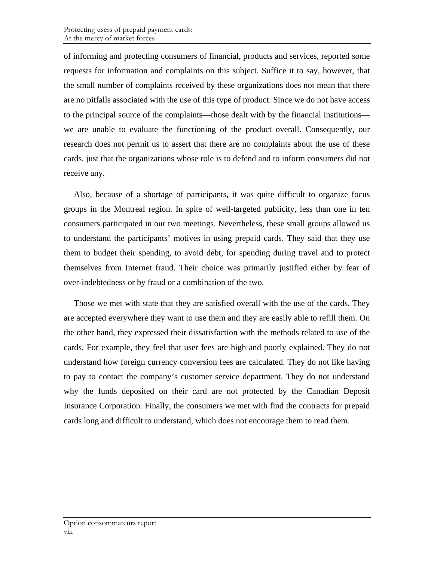of informing and protecting consumers of financial, products and services, reported some requests for information and complaints on this subject. Suffice it to say, however, that the small number of complaints received by these organizations does not mean that there are no pitfalls associated with the use of this type of product. Since we do not have access to the principal source of the complaints—those dealt with by the financial institutions we are unable to evaluate the functioning of the product overall. Consequently, our research does not permit us to assert that there are no complaints about the use of these cards, just that the organizations whose role is to defend and to inform consumers did not receive any.

Also, because of a shortage of participants, it was quite difficult to organize focus groups in the Montreal region. In spite of well-targeted publicity, less than one in ten consumers participated in our two meetings. Nevertheless, these small groups allowed us to understand the participants' motives in using prepaid cards. They said that they use them to budget their spending, to avoid debt, for spending during travel and to protect themselves from Internet fraud. Their choice was primarily justified either by fear of over-indebtedness or by fraud or a combination of the two.

Those we met with state that they are satisfied overall with the use of the cards. They are accepted everywhere they want to use them and they are easily able to refill them. On the other hand, they expressed their dissatisfaction with the methods related to use of the cards. For example, they feel that user fees are high and poorly explained. They do not understand how foreign currency conversion fees are calculated. They do not like having to pay to contact the company's customer service department. They do not understand why the funds deposited on their card are not protected by the Canadian Deposit Insurance Corporation. Finally, the consumers we met with find the contracts for prepaid cards long and difficult to understand, which does not encourage them to read them.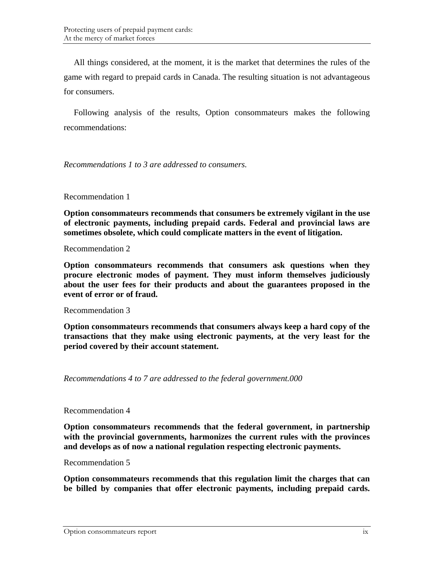All things considered, at the moment, it is the market that determines the rules of the game with regard to prepaid cards in Canada. The resulting situation is not advantageous for consumers.

Following analysis of the results, Option consommateurs makes the following recommendations:

*Recommendations 1 to 3 are addressed to consumers.* 

Recommendation 1

**Option consommateurs recommends that consumers be extremely vigilant in the use of electronic payments, including prepaid cards. Federal and provincial laws are sometimes obsolete, which could complicate matters in the event of litigation.** 

Recommendation 2

**Option consommateurs recommends that consumers ask questions when they procure electronic modes of payment. They must inform themselves judiciously about the user fees for their products and about the guarantees proposed in the event of error or of fraud.** 

Recommendation 3

**Option consommateurs recommends that consumers always keep a hard copy of the transactions that they make using electronic payments, at the very least for the period covered by their account statement.** 

*Recommendations 4 to 7 are addressed to the federal government.000* 

Recommendation 4

**Option consommateurs recommends that the federal government, in partnership with the provincial governments, harmonizes the current rules with the provinces and develops as of now a national regulation respecting electronic payments.** 

Recommendation 5

**Option consommateurs recommends that this regulation limit the charges that can be billed by companies that offer electronic payments, including prepaid cards.**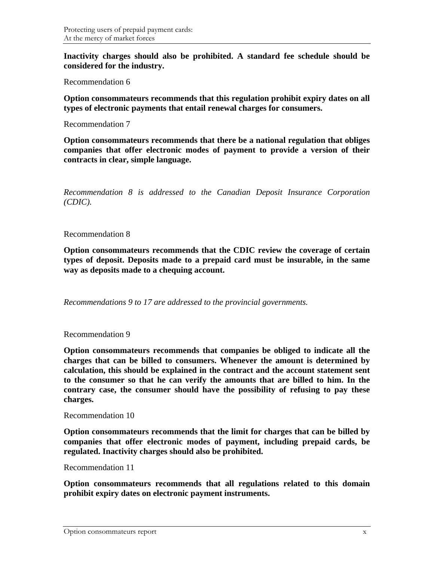**Inactivity charges should also be prohibited. A standard fee schedule should be considered for the industry.** 

Recommendation 6

**Option consommateurs recommends that this regulation prohibit expiry dates on all types of electronic payments that entail renewal charges for consumers.** 

Recommendation 7

**Option consommateurs recommends that there be a national regulation that obliges companies that offer electronic modes of payment to provide a version of their contracts in clear, simple language.** 

*Recommendation 8 is addressed to the Canadian Deposit Insurance Corporation (CDIC).* 

#### Recommendation 8

**Option consommateurs recommends that the CDIC review the coverage of certain types of deposit. Deposits made to a prepaid card must be insurable, in the same way as deposits made to a chequing account.** 

*Recommendations 9 to 17 are addressed to the provincial governments.* 

Recommendation 9

**Option consommateurs recommends that companies be obliged to indicate all the charges that can be billed to consumers. Whenever the amount is determined by calculation, this should be explained in the contract and the account statement sent to the consumer so that he can verify the amounts that are billed to him. In the contrary case, the consumer should have the possibility of refusing to pay these charges.** 

#### Recommendation 10

**Option consommateurs recommends that the limit for charges that can be billed by companies that offer electronic modes of payment, including prepaid cards, be regulated. Inactivity charges should also be prohibited.** 

```
Recommendation 11
```
**Option consommateurs recommends that all regulations related to this domain prohibit expiry dates on electronic payment instruments.**